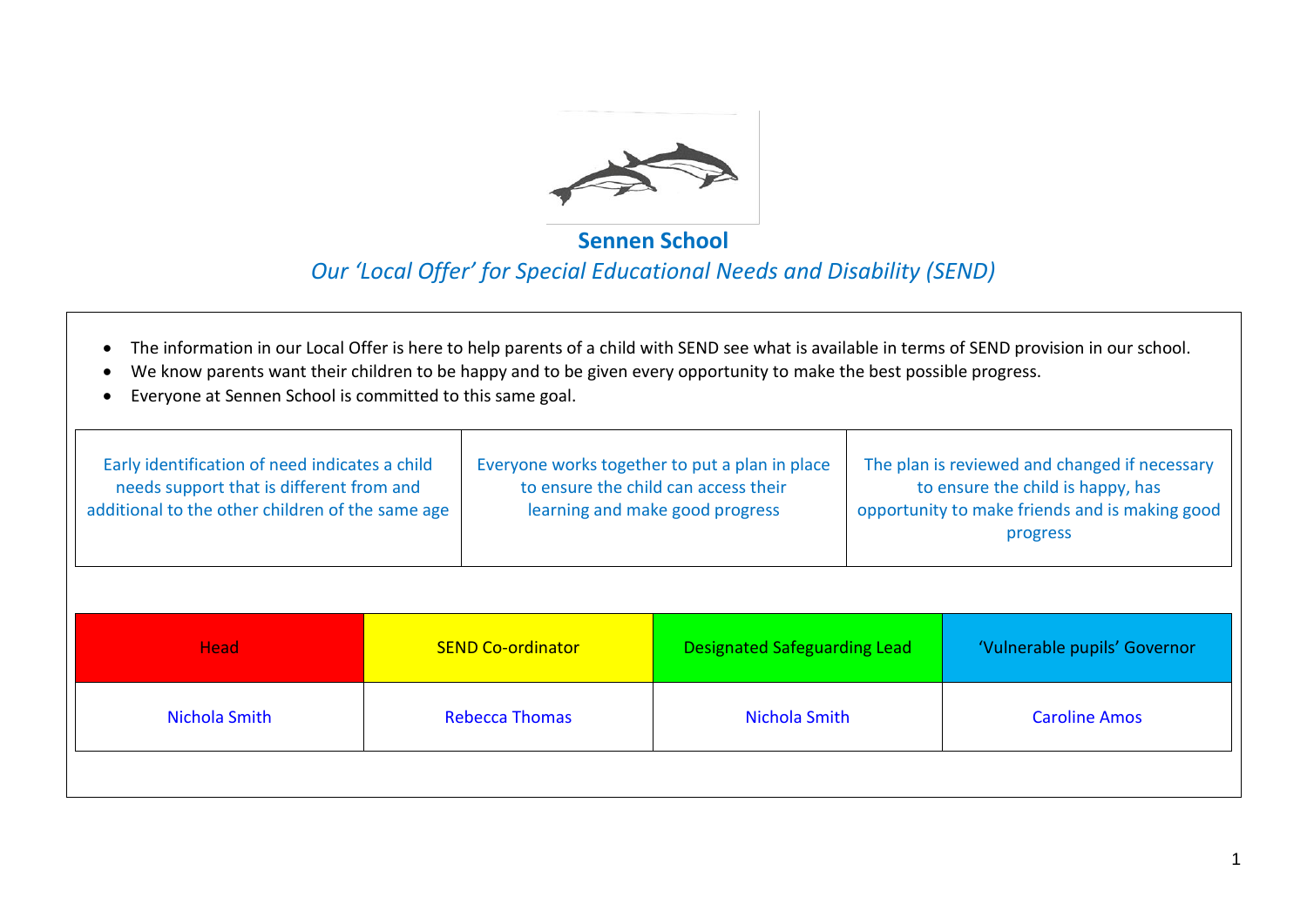

#### **Sennen School**

#### *Our 'Local Offer' for Special Educational Needs and Disability (SEND)*

- The information in our Local Offer is here to help parents of a child with SEND see what is available in terms of SEND provision in our school.
- We know parents want their children to be happy and to be given every opportunity to make the best possible progress.
- Everyone at Sennen School is committed to this same goal.

| Early identification of need indicates a child<br>needs support that is different from and<br>additional to the other children of the same age | Everyone works together to put a plan in place<br>to ensure the child can access their<br>learning and make good progress | The plan is reviewed and changed if necessary<br>to ensure the child is happy, has<br>opportunity to make friends and is making good<br>progress |
|------------------------------------------------------------------------------------------------------------------------------------------------|---------------------------------------------------------------------------------------------------------------------------|--------------------------------------------------------------------------------------------------------------------------------------------------|
|                                                                                                                                                |                                                                                                                           |                                                                                                                                                  |

| <b>Head</b>   | <b>SEND Co-ordinator</b> | <b>Designated Safeguarding Lead</b> | 'Vulnerable pupils' Governor |
|---------------|--------------------------|-------------------------------------|------------------------------|
| Nichola Smith | <b>Rebecca Thomas</b>    | Nichola Smith                       | <b>Caroline Amos</b>         |
|               |                          |                                     |                              |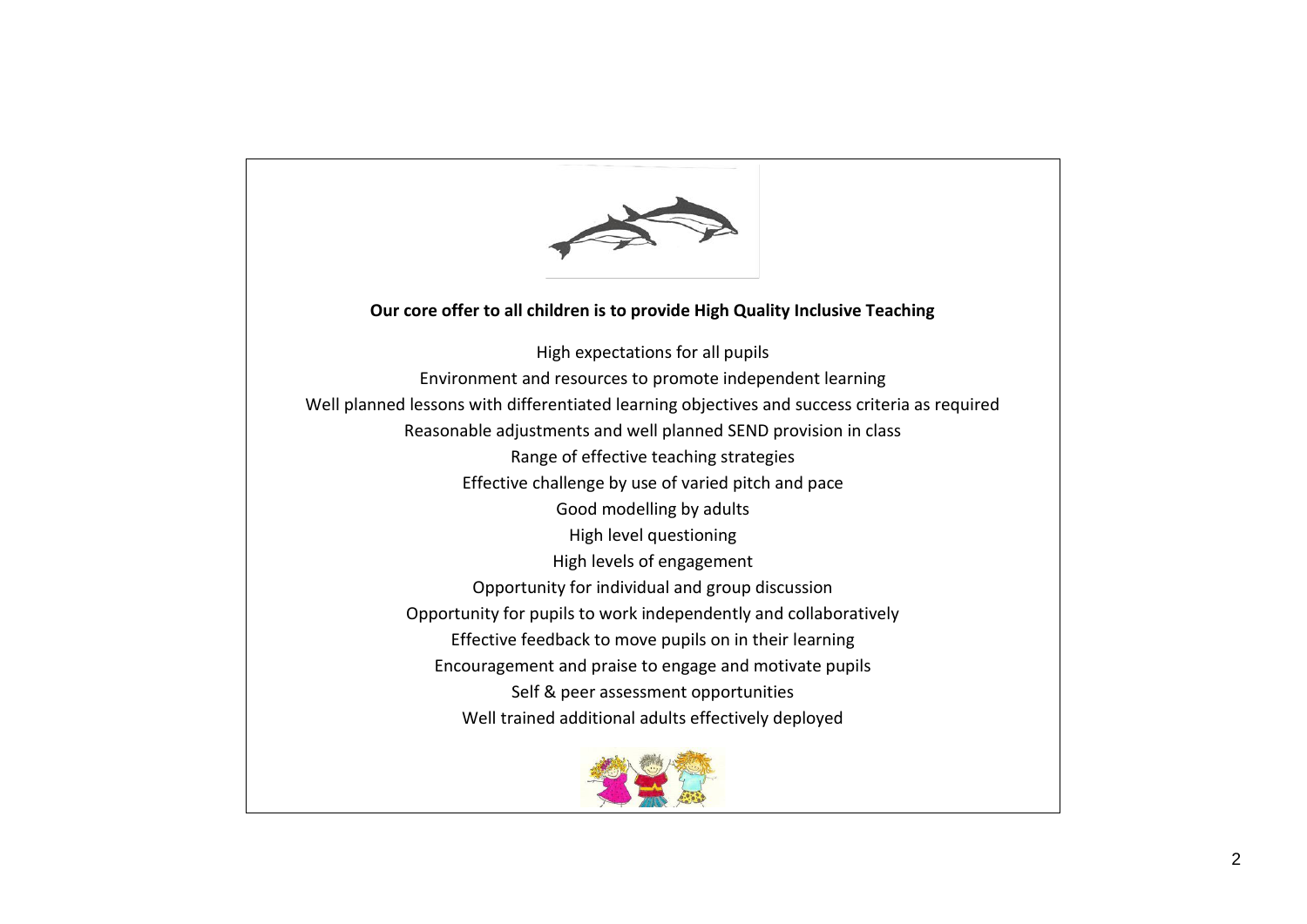

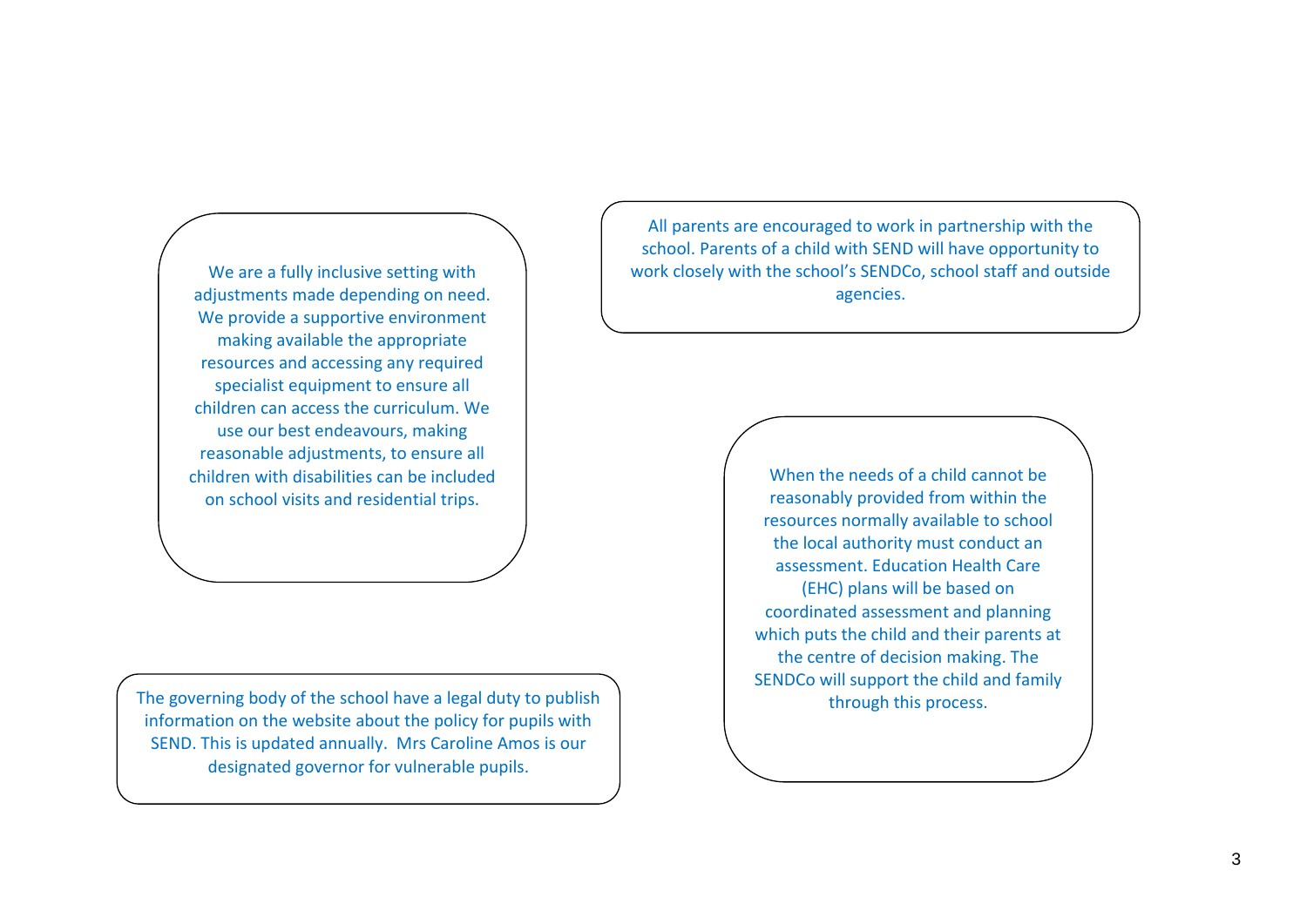We are a fully inclusive setting with adjustments made depending on need. We provide a supportive environment making available the appropriate resources and accessing any required specialist equipment to ensure all children can access the curriculum. We use our best endeavours, making reasonable adjustments, to ensure all children with disabilities can be included on school visits and residential trips.

The governing body of the school have a legal duty to publish information on the website about the policy for pupils with SEND. This is updated annually. Mrs Caroline Amos is our designated governor for vulnerable pupils.

All parents are encouraged to work in partnership with the school. Parents of a child with SEND will have opportunity to work closely with the school's SENDCo, school staff and outside agencies.

> When the needs of a child cannot be reasonably provided from within the resources normally available to school the local authority must conduct an assessment. Education Health Care (EHC) plans will be based on coordinated assessment and planning which puts the child and their parents at the centre of decision making. The SENDCo will support the child and family through this process.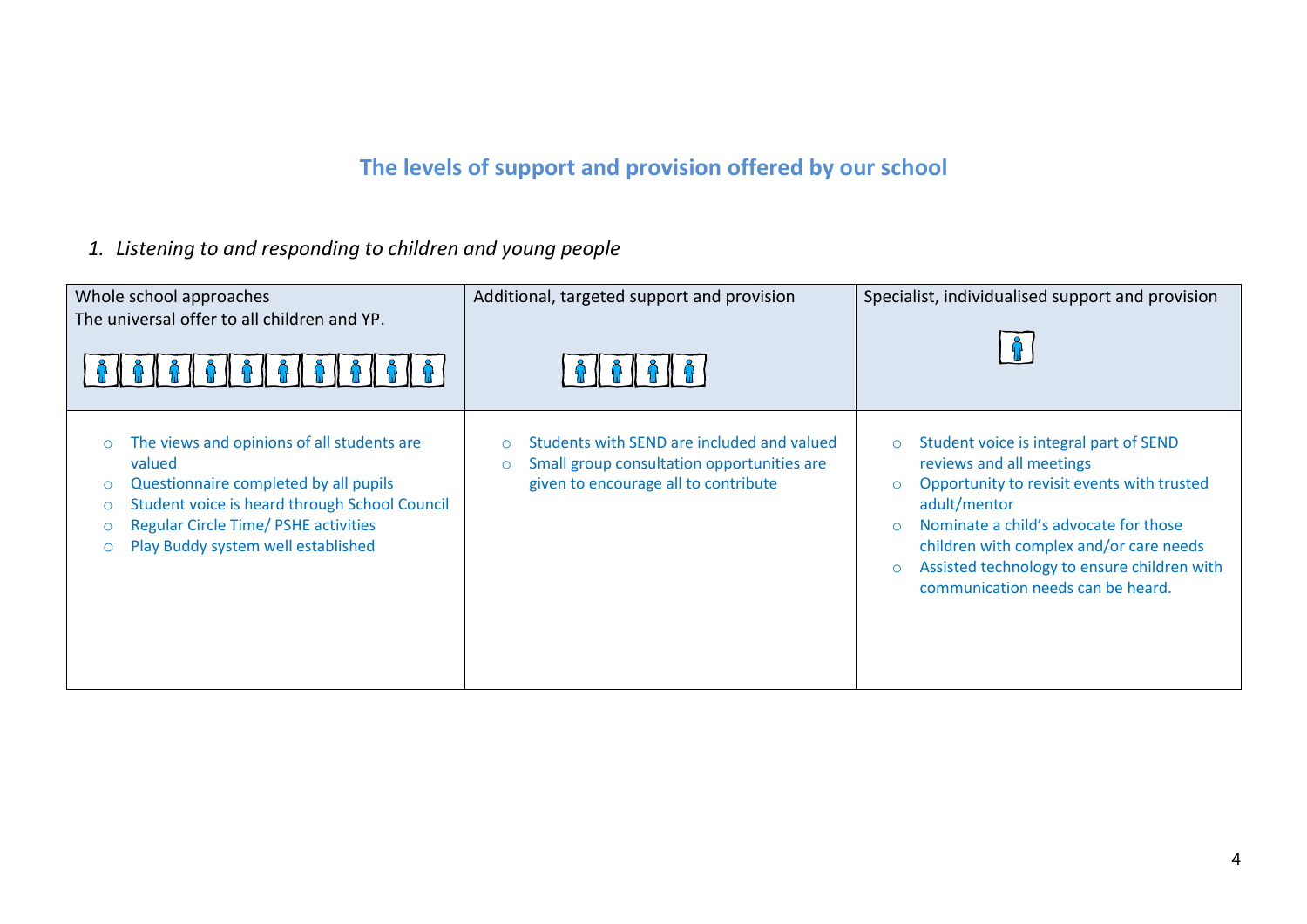# **The levels of support and provision offered by our school**

*1. Listening to and responding to children and young people*

| Whole school approaches<br>The universal offer to all children and YP.<br>A & A & A & A & A & A & A & A                                                                                                                                                                                    | Additional, targeted support and provision                                                                                                  | Specialist, individualised support and provision                                                                                                                                                                                                                                                                                                      |
|--------------------------------------------------------------------------------------------------------------------------------------------------------------------------------------------------------------------------------------------------------------------------------------------|---------------------------------------------------------------------------------------------------------------------------------------------|-------------------------------------------------------------------------------------------------------------------------------------------------------------------------------------------------------------------------------------------------------------------------------------------------------------------------------------------------------|
| The views and opinions of all students are<br>$\circ$<br>valued<br>Questionnaire completed by all pupils<br>$\circ$<br>Student voice is heard through School Council<br>$\circ$<br><b>Regular Circle Time/ PSHE activities</b><br>$\circ$<br>Play Buddy system well established<br>$\circ$ | Students with SEND are included and valued<br>Small group consultation opportunities are<br>$\circ$<br>given to encourage all to contribute | Student voice is integral part of SEND<br>$\circ$<br>reviews and all meetings<br>Opportunity to revisit events with trusted<br>$\circ$<br>adult/mentor<br>Nominate a child's advocate for those<br>$\Omega$<br>children with complex and/or care needs<br>Assisted technology to ensure children with<br>$\circ$<br>communication needs can be heard. |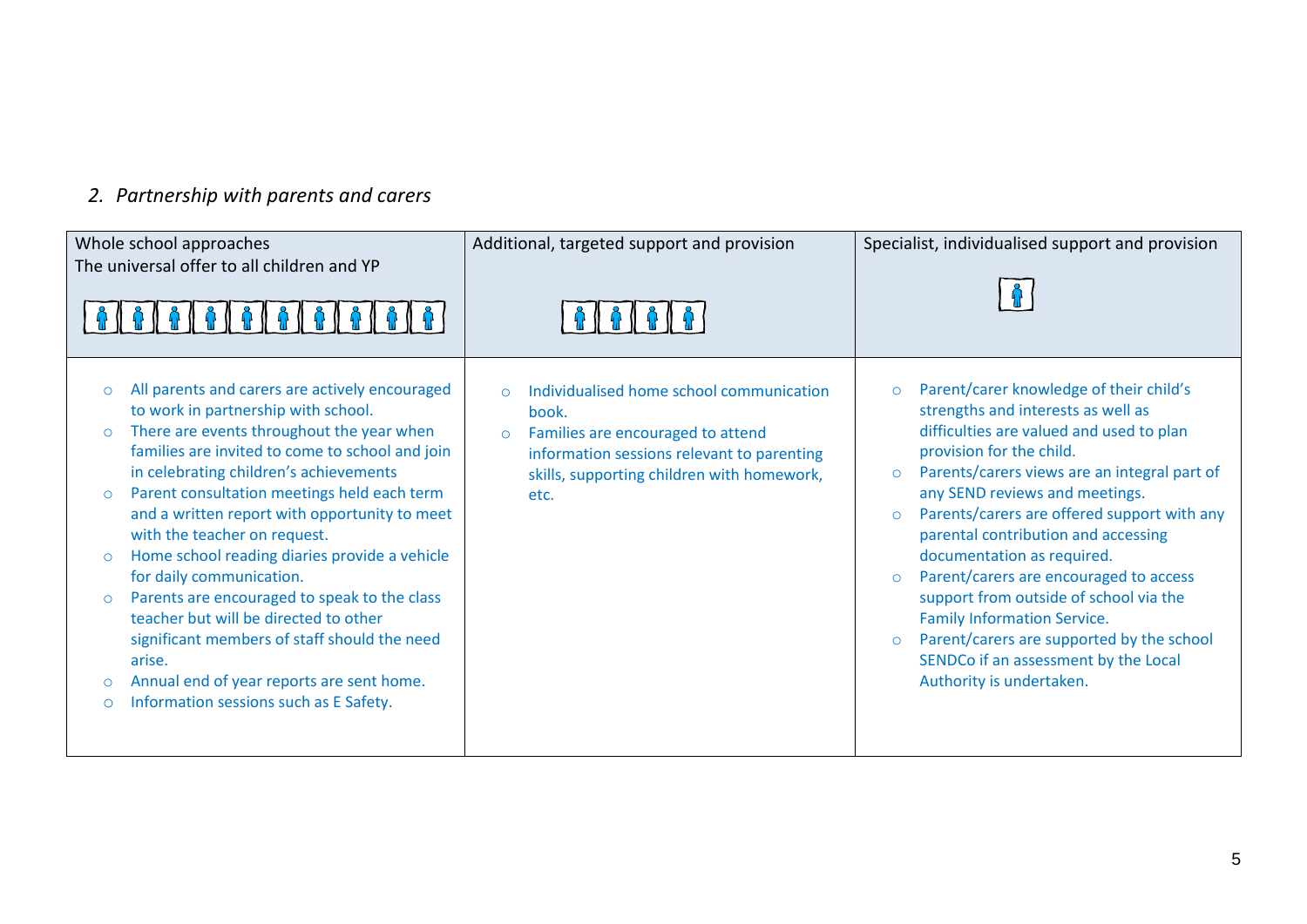# *2. Partnership with parents and carers*

| Whole school approaches<br>The universal offer to all children and YP                                                                                                                                                                                                                                                                                                                                                                                                                                                                                                                                                                                                                                                                                                  | Additional, targeted support and provision                                                                                                                                                             | Specialist, individualised support and provision                                                                                                                                                                                                                                                                                                                                                                                                                                                                                                                                                                             |
|------------------------------------------------------------------------------------------------------------------------------------------------------------------------------------------------------------------------------------------------------------------------------------------------------------------------------------------------------------------------------------------------------------------------------------------------------------------------------------------------------------------------------------------------------------------------------------------------------------------------------------------------------------------------------------------------------------------------------------------------------------------------|--------------------------------------------------------------------------------------------------------------------------------------------------------------------------------------------------------|------------------------------------------------------------------------------------------------------------------------------------------------------------------------------------------------------------------------------------------------------------------------------------------------------------------------------------------------------------------------------------------------------------------------------------------------------------------------------------------------------------------------------------------------------------------------------------------------------------------------------|
| All parents and carers are actively encouraged<br>$\circ$<br>to work in partnership with school.<br>There are events throughout the year when<br>$\circ$<br>families are invited to come to school and join<br>in celebrating children's achievements<br>Parent consultation meetings held each term<br>$\circ$<br>and a written report with opportunity to meet<br>with the teacher on request.<br>Home school reading diaries provide a vehicle<br>$\circ$<br>for daily communication.<br>Parents are encouraged to speak to the class<br>$\circ$<br>teacher but will be directed to other<br>significant members of staff should the need<br>arise.<br>Annual end of year reports are sent home.<br>$\circ$<br>Information sessions such as E Safety.<br>$\bigcirc$ | Individualised home school communication<br>book.<br>Families are encouraged to attend<br>$\Omega$<br>information sessions relevant to parenting<br>skills, supporting children with homework,<br>etc. | Parent/carer knowledge of their child's<br>$\circ$<br>strengths and interests as well as<br>difficulties are valued and used to plan<br>provision for the child.<br>Parents/carers views are an integral part of<br>$\circ$<br>any SEND reviews and meetings.<br>Parents/carers are offered support with any<br>parental contribution and accessing<br>documentation as required.<br>Parent/carers are encouraged to access<br>support from outside of school via the<br><b>Family Information Service.</b><br>Parent/carers are supported by the school<br>SENDCo if an assessment by the Local<br>Authority is undertaken. |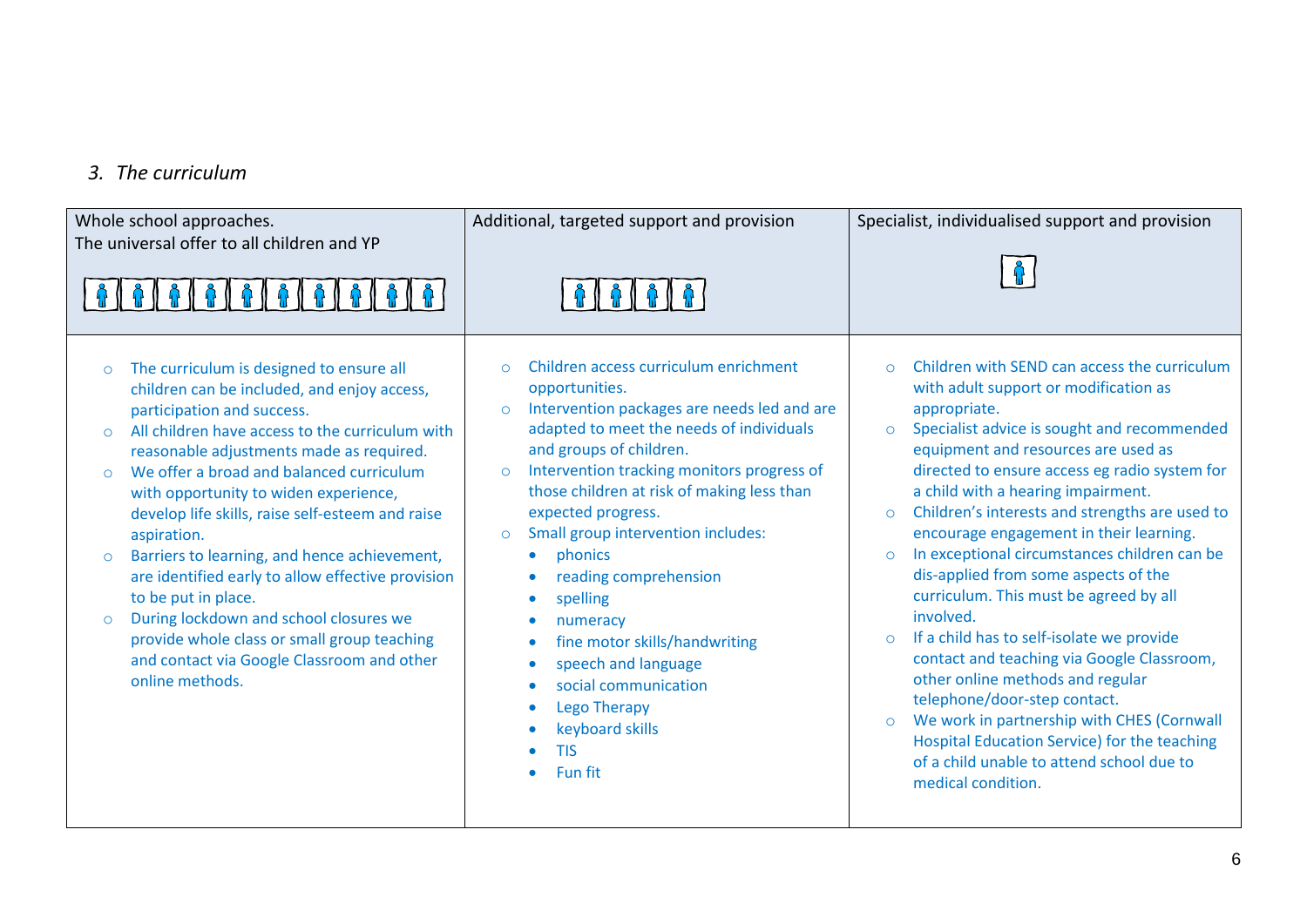#### *3. The curriculum*

| Whole school approaches.<br>The universal offer to all children and YP                                                                                                                                                                                                                                                                                                                                                                                                                                                                                                                                                                                                                                                      | Additional, targeted support and provision                                                                                                                                                                                                                                                                                                                                                                                                                                                                                                                                                                                                                                                                             | Specialist, individualised support and provision                                                                                                                                                                                                                                                                                                                                                                                                                                                                                                                                                                                                                                                                                                                                                                                                                                                                                    |
|-----------------------------------------------------------------------------------------------------------------------------------------------------------------------------------------------------------------------------------------------------------------------------------------------------------------------------------------------------------------------------------------------------------------------------------------------------------------------------------------------------------------------------------------------------------------------------------------------------------------------------------------------------------------------------------------------------------------------------|------------------------------------------------------------------------------------------------------------------------------------------------------------------------------------------------------------------------------------------------------------------------------------------------------------------------------------------------------------------------------------------------------------------------------------------------------------------------------------------------------------------------------------------------------------------------------------------------------------------------------------------------------------------------------------------------------------------------|-------------------------------------------------------------------------------------------------------------------------------------------------------------------------------------------------------------------------------------------------------------------------------------------------------------------------------------------------------------------------------------------------------------------------------------------------------------------------------------------------------------------------------------------------------------------------------------------------------------------------------------------------------------------------------------------------------------------------------------------------------------------------------------------------------------------------------------------------------------------------------------------------------------------------------------|
| The curriculum is designed to ensure all<br>$\circ$<br>children can be included, and enjoy access,<br>participation and success.<br>All children have access to the curriculum with<br>$\Omega$<br>reasonable adjustments made as required.<br>We offer a broad and balanced curriculum<br>$\Omega$<br>with opportunity to widen experience,<br>develop life skills, raise self-esteem and raise<br>aspiration.<br>Barriers to learning, and hence achievement,<br>$\circ$<br>are identified early to allow effective provision<br>to be put in place.<br>During lockdown and school closures we<br>$\circ$<br>provide whole class or small group teaching<br>and contact via Google Classroom and other<br>online methods. | Children access curriculum enrichment<br>$\Omega$<br>opportunities.<br>Intervention packages are needs led and are<br>$\circ$<br>adapted to meet the needs of individuals<br>and groups of children.<br>Intervention tracking monitors progress of<br>$\circ$<br>those children at risk of making less than<br>expected progress.<br>Small group intervention includes:<br>$\circ$<br>phonics<br>$\bullet$<br>reading comprehension<br>$\bullet$<br>spelling<br>$\bullet$<br>numeracy<br>$\bullet$<br>fine motor skills/handwriting<br>$\bullet$<br>speech and language<br>$\bullet$<br>social communication<br>$\bullet$<br><b>Lego Therapy</b><br>$\bullet$<br>keyboard skills<br>$\bullet$<br><b>TIS</b><br>Fun fit | Children with SEND can access the curriculum<br>$\Omega$<br>with adult support or modification as<br>appropriate.<br>Specialist advice is sought and recommended<br>$\circ$<br>equipment and resources are used as<br>directed to ensure access eg radio system for<br>a child with a hearing impairment.<br>Children's interests and strengths are used to<br>$\Omega$<br>encourage engagement in their learning.<br>In exceptional circumstances children can be<br>$\circ$<br>dis-applied from some aspects of the<br>curriculum. This must be agreed by all<br>involved.<br>If a child has to self-isolate we provide<br>$\Omega$<br>contact and teaching via Google Classroom,<br>other online methods and regular<br>telephone/door-step contact.<br>We work in partnership with CHES (Cornwall<br>$\circ$<br>Hospital Education Service) for the teaching<br>of a child unable to attend school due to<br>medical condition. |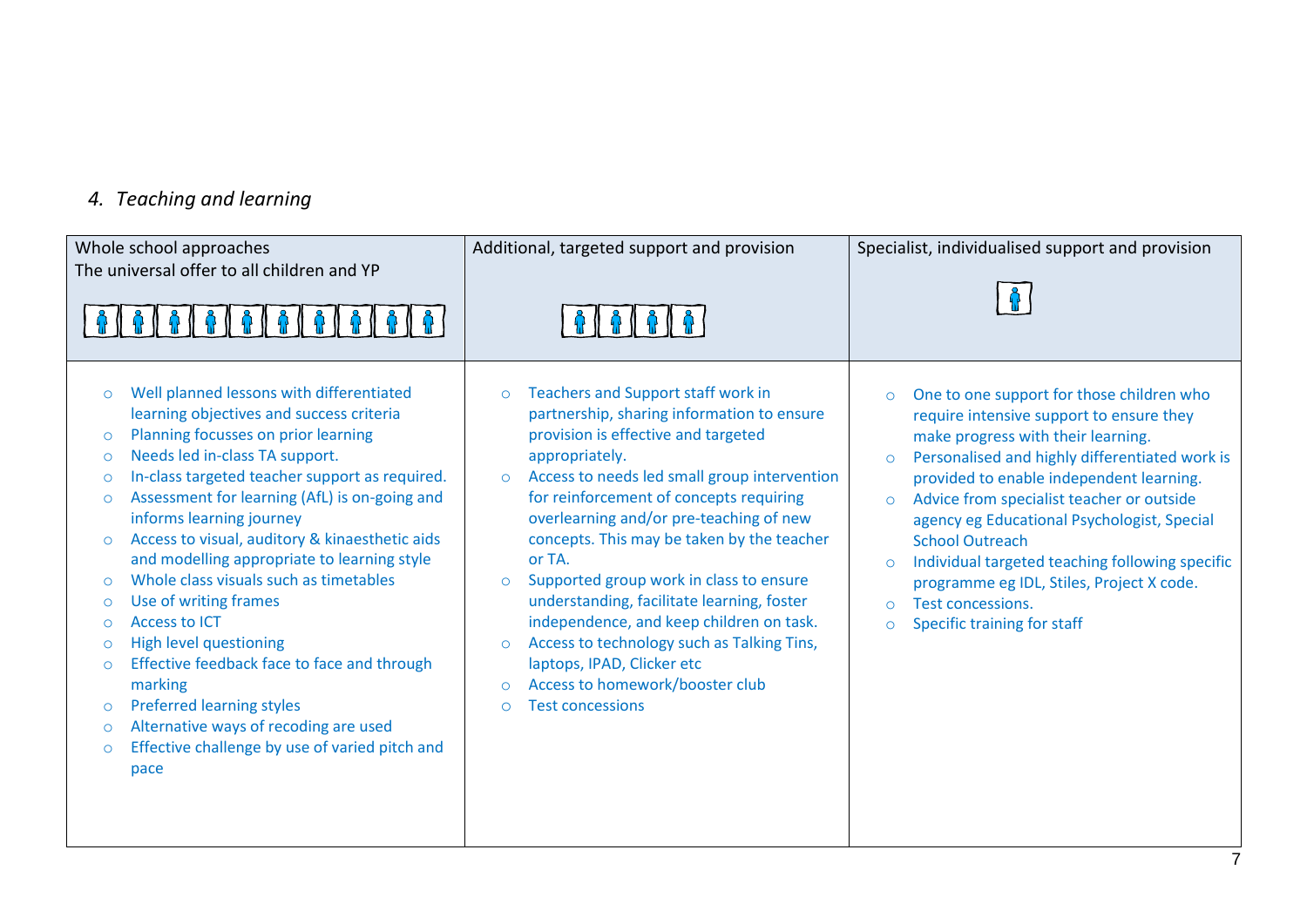#### *4. Teaching and learning*

| Whole school approaches<br>The universal offer to all children and YP                                                                                                                                                                                                                                                                                                                                                                                                                                                                                                                                                                                                                                                                                                                                                                                                                | Additional, targeted support and provision                                                                                                                                                                                                                                                                                                                                                                                                                                                                                                                                                                                                                                      | Specialist, individualised support and provision                                                                                                                                                                                                                                                                                                                                                                                                                                                                                                                        |
|--------------------------------------------------------------------------------------------------------------------------------------------------------------------------------------------------------------------------------------------------------------------------------------------------------------------------------------------------------------------------------------------------------------------------------------------------------------------------------------------------------------------------------------------------------------------------------------------------------------------------------------------------------------------------------------------------------------------------------------------------------------------------------------------------------------------------------------------------------------------------------------|---------------------------------------------------------------------------------------------------------------------------------------------------------------------------------------------------------------------------------------------------------------------------------------------------------------------------------------------------------------------------------------------------------------------------------------------------------------------------------------------------------------------------------------------------------------------------------------------------------------------------------------------------------------------------------|-------------------------------------------------------------------------------------------------------------------------------------------------------------------------------------------------------------------------------------------------------------------------------------------------------------------------------------------------------------------------------------------------------------------------------------------------------------------------------------------------------------------------------------------------------------------------|
| <b>BIBIBIBI</b>                                                                                                                                                                                                                                                                                                                                                                                                                                                                                                                                                                                                                                                                                                                                                                                                                                                                      |                                                                                                                                                                                                                                                                                                                                                                                                                                                                                                                                                                                                                                                                                 |                                                                                                                                                                                                                                                                                                                                                                                                                                                                                                                                                                         |
| Well planned lessons with differentiated<br>$\circ$<br>learning objectives and success criteria<br>Planning focusses on prior learning<br>$\circ$<br>Needs led in-class TA support.<br>$\circ$<br>In-class targeted teacher support as required.<br>$\circ$<br>Assessment for learning (AfL) is on-going and<br>$\circ$<br>informs learning journey<br>Access to visual, auditory & kinaesthetic aids<br>$\circ$<br>and modelling appropriate to learning style<br>Whole class visuals such as timetables<br>$\circ$<br>Use of writing frames<br>$\circ$<br><b>Access to ICT</b><br>$\circ$<br><b>High level questioning</b><br>$\circ$<br>Effective feedback face to face and through<br>$\circ$<br>marking<br><b>Preferred learning styles</b><br>$\circ$<br>Alternative ways of recoding are used<br>$\circ$<br>Effective challenge by use of varied pitch and<br>$\circ$<br>pace | Teachers and Support staff work in<br>$\circ$<br>partnership, sharing information to ensure<br>provision is effective and targeted<br>appropriately.<br>Access to needs led small group intervention<br>$\circ$<br>for reinforcement of concepts requiring<br>overlearning and/or pre-teaching of new<br>concepts. This may be taken by the teacher<br>or TA.<br>Supported group work in class to ensure<br>$\Omega$<br>understanding, facilitate learning, foster<br>independence, and keep children on task.<br>Access to technology such as Talking Tins,<br>$\circ$<br>laptops, IPAD, Clicker etc<br>Access to homework/booster club<br>$\Omega$<br><b>Test concessions</b> | One to one support for those children who<br>$\circ$<br>require intensive support to ensure they<br>make progress with their learning.<br>Personalised and highly differentiated work is<br>$\circ$<br>provided to enable independent learning.<br>Advice from specialist teacher or outside<br>$\circ$<br>agency eg Educational Psychologist, Special<br><b>School Outreach</b><br>Individual targeted teaching following specific<br>$\Omega$<br>programme eg IDL, Stiles, Project X code.<br>Test concessions.<br>$\Omega$<br>Specific training for staff<br>$\circ$ |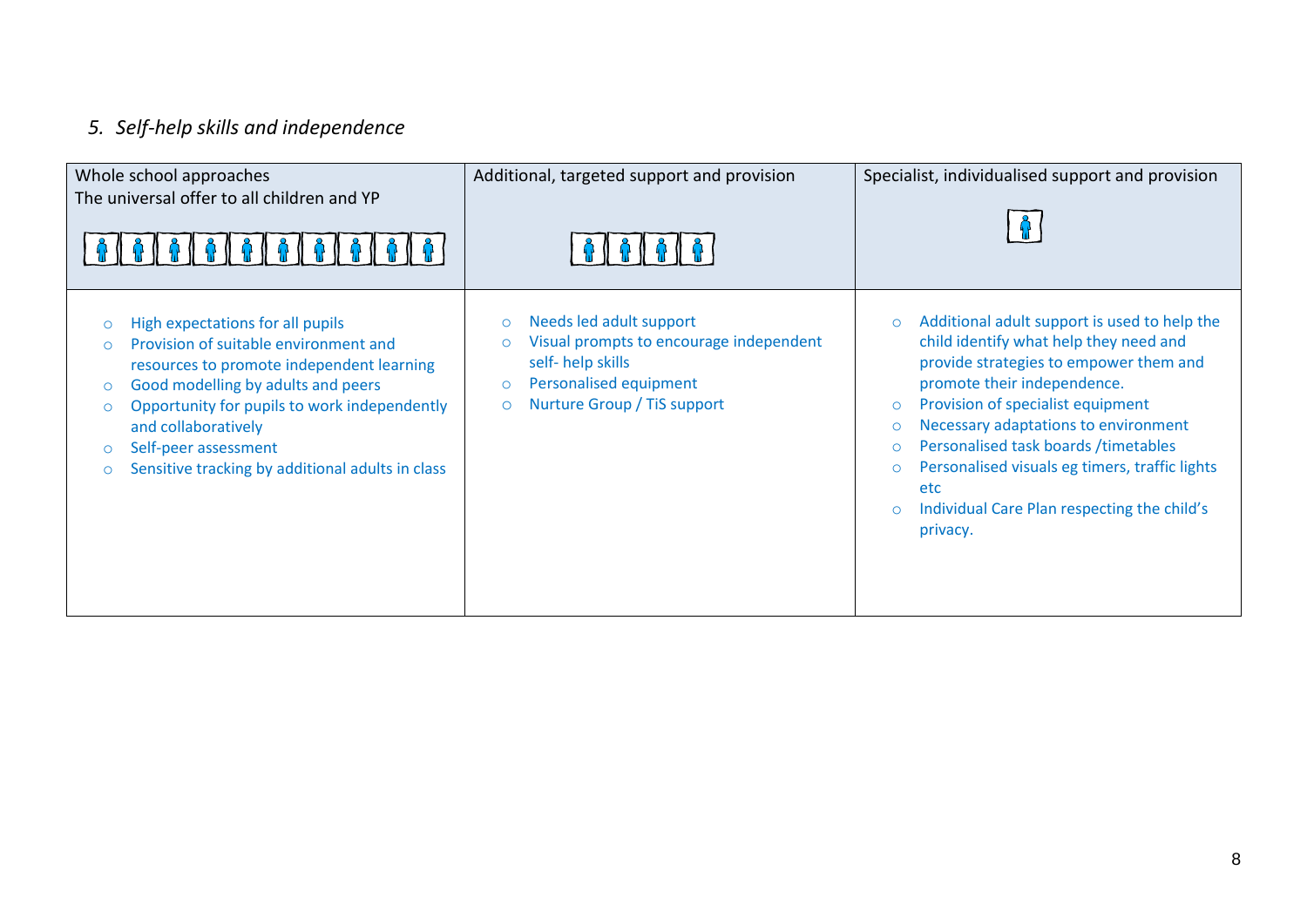# *5. Self-help skills and independence*

| Whole school approaches<br>The universal offer to all children and YP                                                                                                                                                                                                                                                                                                   | Additional, targeted support and provision                                                                                                                                                  | Specialist, individualised support and provision                                                                                                                                                                                                                                                                                                                                                                                                                            |
|-------------------------------------------------------------------------------------------------------------------------------------------------------------------------------------------------------------------------------------------------------------------------------------------------------------------------------------------------------------------------|---------------------------------------------------------------------------------------------------------------------------------------------------------------------------------------------|-----------------------------------------------------------------------------------------------------------------------------------------------------------------------------------------------------------------------------------------------------------------------------------------------------------------------------------------------------------------------------------------------------------------------------------------------------------------------------|
| High expectations for all pupils<br>$\circ$<br>Provision of suitable environment and<br>$\Omega$<br>resources to promote independent learning<br>Good modelling by adults and peers<br>$\circ$<br>Opportunity for pupils to work independently<br>$\circ$<br>and collaboratively<br>Self-peer assessment<br>$\circ$<br>Sensitive tracking by additional adults in class | Needs led adult support<br>$\circ$<br>Visual prompts to encourage independent<br>$\circ$<br>self-help skills<br>Personalised equipment<br>$\circ$<br>Nurture Group / TiS support<br>$\circ$ | Additional adult support is used to help the<br>$\circ$<br>child identify what help they need and<br>provide strategies to empower them and<br>promote their independence.<br>Provision of specialist equipment<br>$\circ$<br>Necessary adaptations to environment<br>$\circ$<br>Personalised task boards / timetables<br>$\circ$<br>Personalised visuals eg timers, traffic lights<br>$\circ$<br>etc<br>Individual Care Plan respecting the child's<br>$\circ$<br>privacy. |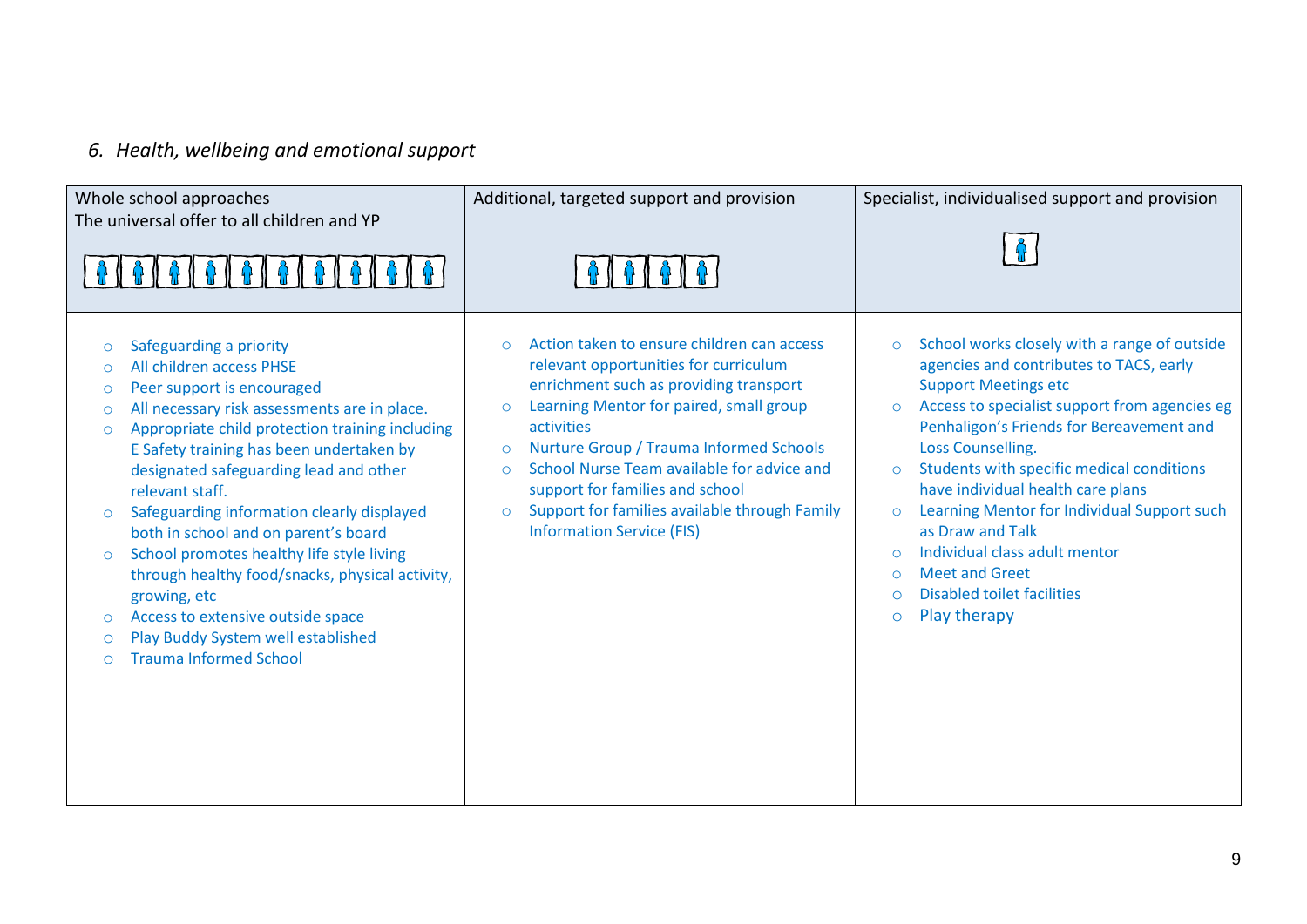# *6. Health, wellbeing and emotional support*

| Whole school approaches<br>The universal offer to all children and YP                                                                                                                                                                                                                                                                                                                                                                                                                                                                                                                                                                                                                                                   | Additional, targeted support and provision                                                                                                                                                                                                                                                                                                                                                                                                                      | Specialist, individualised support and provision                                                                                                                                                                                                                                                                                                                                                                                                                                                                                                                                                              |
|-------------------------------------------------------------------------------------------------------------------------------------------------------------------------------------------------------------------------------------------------------------------------------------------------------------------------------------------------------------------------------------------------------------------------------------------------------------------------------------------------------------------------------------------------------------------------------------------------------------------------------------------------------------------------------------------------------------------------|-----------------------------------------------------------------------------------------------------------------------------------------------------------------------------------------------------------------------------------------------------------------------------------------------------------------------------------------------------------------------------------------------------------------------------------------------------------------|---------------------------------------------------------------------------------------------------------------------------------------------------------------------------------------------------------------------------------------------------------------------------------------------------------------------------------------------------------------------------------------------------------------------------------------------------------------------------------------------------------------------------------------------------------------------------------------------------------------|
| Safeguarding a priority<br>$\circ$<br>All children access PHSE<br>$\circ$<br>Peer support is encouraged<br>$\circ$<br>All necessary risk assessments are in place.<br>$\circ$<br>Appropriate child protection training including<br>$\circ$<br>E Safety training has been undertaken by<br>designated safeguarding lead and other<br>relevant staff.<br>Safeguarding information clearly displayed<br>$\circ$<br>both in school and on parent's board<br>School promotes healthy life style living<br>$\circ$<br>through healthy food/snacks, physical activity,<br>growing, etc<br>Access to extensive outside space<br>$\circ$<br>Play Buddy System well established<br>$\circ$<br><b>Trauma Informed School</b><br>∩ | Action taken to ensure children can access<br>$\Omega$<br>relevant opportunities for curriculum<br>enrichment such as providing transport<br>Learning Mentor for paired, small group<br>$\circ$<br>activities<br>Nurture Group / Trauma Informed Schools<br>$\circ$<br>School Nurse Team available for advice and<br>$\circ$<br>support for families and school<br>Support for families available through Family<br>$\circ$<br><b>Information Service (FIS)</b> | School works closely with a range of outside<br>$\circ$<br>agencies and contributes to TACS, early<br><b>Support Meetings etc</b><br>Access to specialist support from agencies eg<br>$\circ$<br>Penhaligon's Friends for Bereavement and<br><b>Loss Counselling.</b><br>Students with specific medical conditions<br>$\circ$<br>have individual health care plans<br>Learning Mentor for Individual Support such<br>$\circ$<br>as Draw and Talk<br>Individual class adult mentor<br>$\Omega$<br><b>Meet and Greet</b><br>$\circ$<br><b>Disabled toilet facilities</b><br>$\Omega$<br>Play therapy<br>$\circ$ |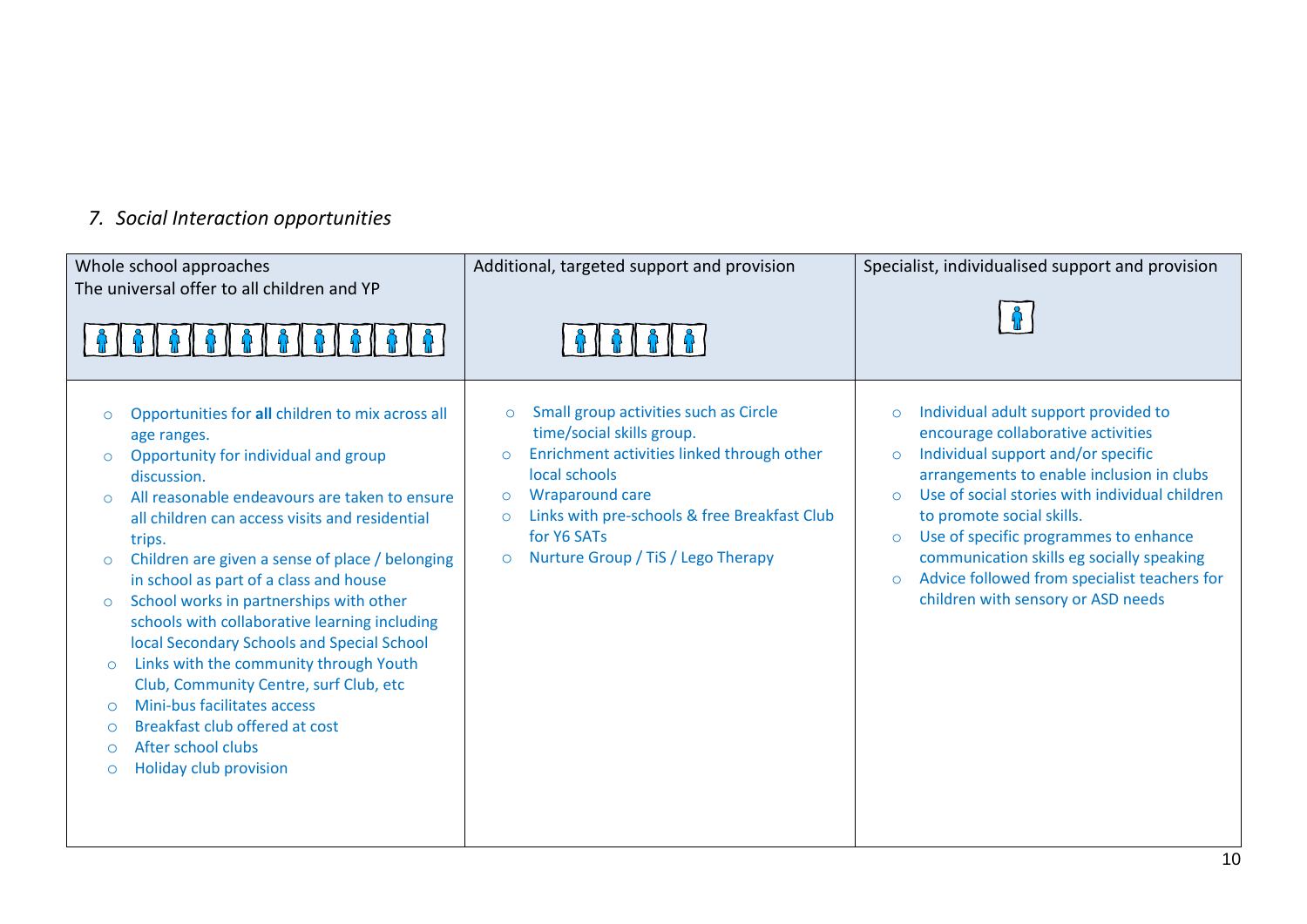# *7. Social Interaction opportunities*

| Whole school approaches<br>The universal offer to all children and YP<br>6   6                                                                                                                                                                                                                                                                                                                                                                                                                                                                                                                                                                                                                                                                                                                        | Additional, targeted support and provision                                                                                                                                                                                                                                                                              | Specialist, individualised support and provision                                                                                                                                                                                                                                                                                                                                                                                                                                 |
|-------------------------------------------------------------------------------------------------------------------------------------------------------------------------------------------------------------------------------------------------------------------------------------------------------------------------------------------------------------------------------------------------------------------------------------------------------------------------------------------------------------------------------------------------------------------------------------------------------------------------------------------------------------------------------------------------------------------------------------------------------------------------------------------------------|-------------------------------------------------------------------------------------------------------------------------------------------------------------------------------------------------------------------------------------------------------------------------------------------------------------------------|----------------------------------------------------------------------------------------------------------------------------------------------------------------------------------------------------------------------------------------------------------------------------------------------------------------------------------------------------------------------------------------------------------------------------------------------------------------------------------|
| Opportunities for all children to mix across all<br>$\circ$<br>age ranges.<br>Opportunity for individual and group<br>$\circ$<br>discussion.<br>All reasonable endeavours are taken to ensure<br>$\Omega$<br>all children can access visits and residential<br>trips.<br>Children are given a sense of place / belonging<br>$\circ$<br>in school as part of a class and house<br>School works in partnerships with other<br>$\circ$<br>schools with collaborative learning including<br>local Secondary Schools and Special School<br>Links with the community through Youth<br>$\circ$<br>Club, Community Centre, surf Club, etc<br>Mini-bus facilitates access<br>$\circ$<br>Breakfast club offered at cost<br>$\circ$<br>After school clubs<br>$\circ$<br><b>Holiday club provision</b><br>$\circ$ | Small group activities such as Circle<br>$\circ$<br>time/social skills group.<br>Enrichment activities linked through other<br>$\circ$<br>local schools<br><b>Wraparound care</b><br>$\circ$<br>Links with pre-schools & free Breakfast Club<br>$\circ$<br>for Y6 SATs<br>Nurture Group / TiS / Lego Therapy<br>$\circ$ | Individual adult support provided to<br>$\circ$<br>encourage collaborative activities<br>Individual support and/or specific<br>$\circ$<br>arrangements to enable inclusion in clubs<br>Use of social stories with individual children<br>$\Omega$<br>to promote social skills.<br>Use of specific programmes to enhance<br>$\circ$<br>communication skills eg socially speaking<br>Advice followed from specialist teachers for<br>$\circ$<br>children with sensory or ASD needs |
|                                                                                                                                                                                                                                                                                                                                                                                                                                                                                                                                                                                                                                                                                                                                                                                                       |                                                                                                                                                                                                                                                                                                                         | $\overline{10}$                                                                                                                                                                                                                                                                                                                                                                                                                                                                  |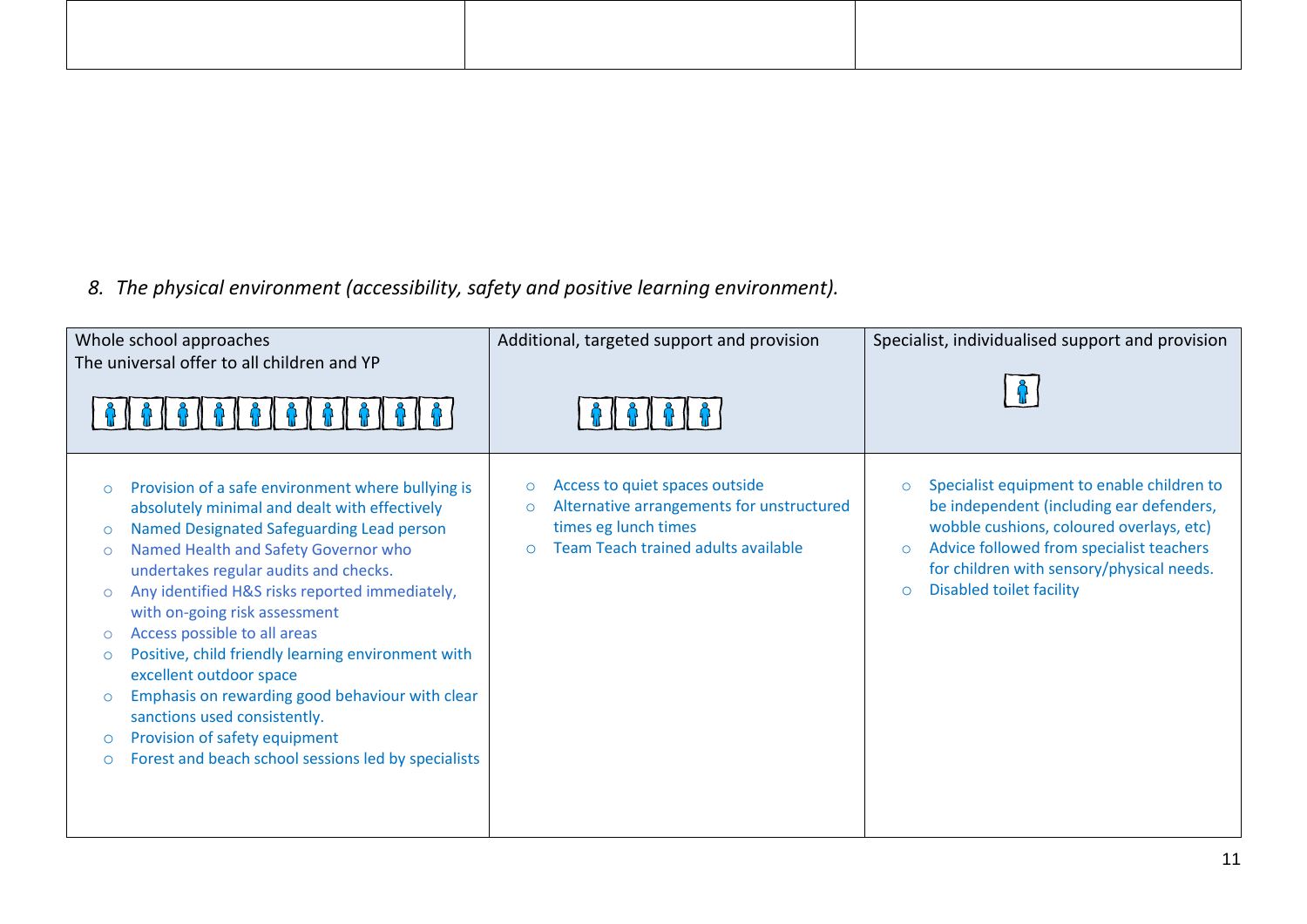# *8. The physical environment (accessibility, safety and positive learning environment).*

| Whole school approaches<br>The universal offer to all children and YP                                                                                                                                                                                                                                                                                                                                                                                                                                                                                                                                                                                                                                              | Additional, targeted support and provision                                                                                                                            | Specialist, individualised support and provision                                                                                                                                                                                                                                                |
|--------------------------------------------------------------------------------------------------------------------------------------------------------------------------------------------------------------------------------------------------------------------------------------------------------------------------------------------------------------------------------------------------------------------------------------------------------------------------------------------------------------------------------------------------------------------------------------------------------------------------------------------------------------------------------------------------------------------|-----------------------------------------------------------------------------------------------------------------------------------------------------------------------|-------------------------------------------------------------------------------------------------------------------------------------------------------------------------------------------------------------------------------------------------------------------------------------------------|
| Provision of a safe environment where bullying is<br>$\circ$<br>absolutely minimal and dealt with effectively<br>Named Designated Safeguarding Lead person<br>$\circ$<br>Named Health and Safety Governor who<br>$\circ$<br>undertakes regular audits and checks.<br>Any identified H&S risks reported immediately,<br>$\circ$<br>with on-going risk assessment<br>Access possible to all areas<br>$\circ$<br>Positive, child friendly learning environment with<br>$\circ$<br>excellent outdoor space<br>Emphasis on rewarding good behaviour with clear<br>$\circ$<br>sanctions used consistently.<br>Provision of safety equipment<br>$\circ$<br>Forest and beach school sessions led by specialists<br>$\circ$ | Access to quiet spaces outside<br>$\circ$<br>Alternative arrangements for unstructured<br>$\circ$<br>times eg lunch times<br>Team Teach trained adults available<br>Ċ | Specialist equipment to enable children to<br>$\circ$<br>be independent (including ear defenders,<br>wobble cushions, coloured overlays, etc)<br>Advice followed from specialist teachers<br>$\circ$<br>for children with sensory/physical needs.<br><b>Disabled toilet facility</b><br>$\circ$ |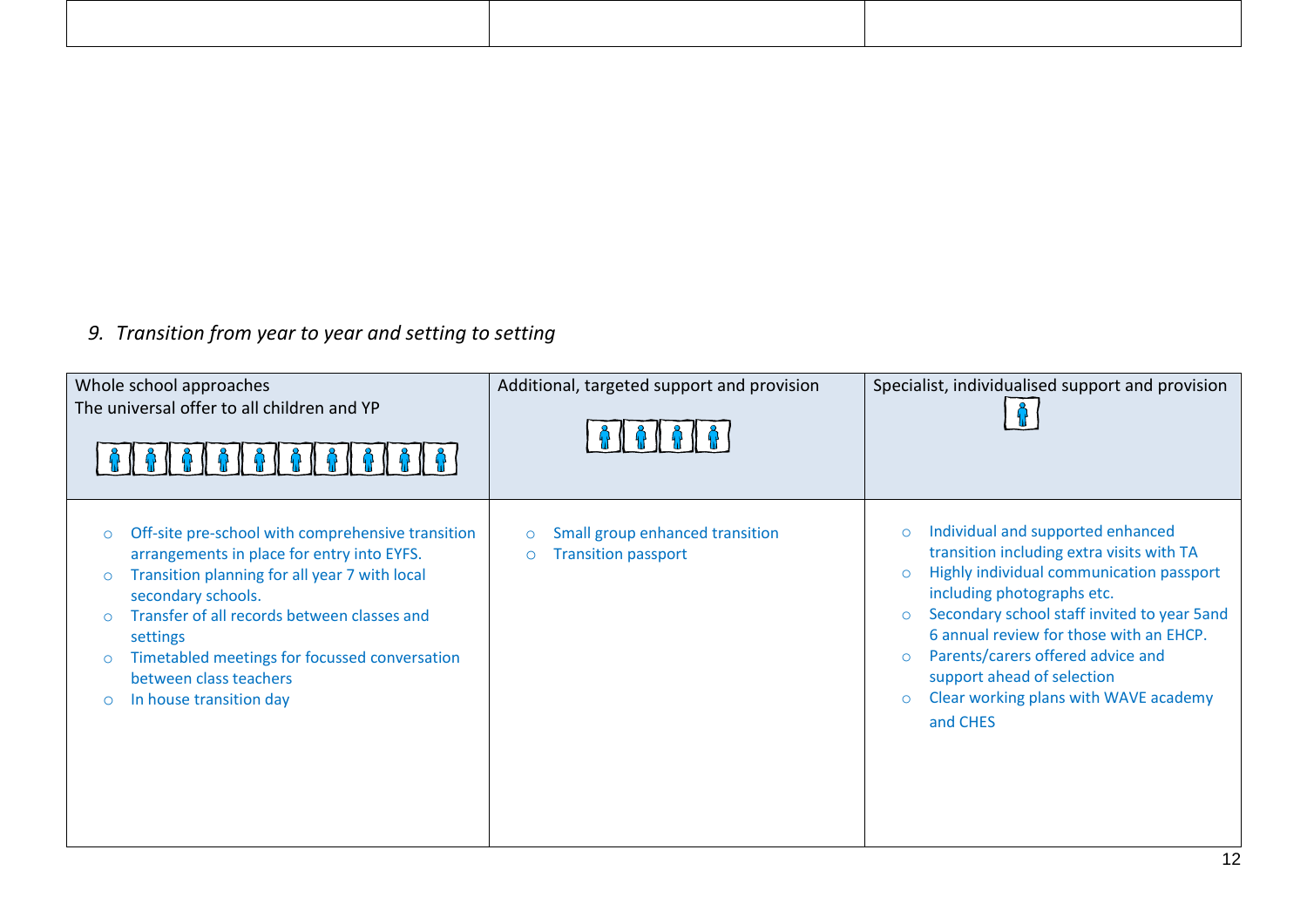# *9. Transition from year to year and setting to setting*

| Whole school approaches<br>The universal offer to all children and YP                                                                                                                                                                                                                                                                                                               | Additional, targeted support and provision                                          | Specialist, individualised support and provision                                                                                                                                                                                                                                                                                                                                                                                  |
|-------------------------------------------------------------------------------------------------------------------------------------------------------------------------------------------------------------------------------------------------------------------------------------------------------------------------------------------------------------------------------------|-------------------------------------------------------------------------------------|-----------------------------------------------------------------------------------------------------------------------------------------------------------------------------------------------------------------------------------------------------------------------------------------------------------------------------------------------------------------------------------------------------------------------------------|
| Off-site pre-school with comprehensive transition<br>arrangements in place for entry into EYFS.<br>Transition planning for all year 7 with local<br>$\circ$<br>secondary schools.<br>Transfer of all records between classes and<br>$\circ$<br>settings<br>Timetabled meetings for focussed conversation<br>$\circ$<br>between class teachers<br>In house transition day<br>$\circ$ | Small group enhanced transition<br>$\circ$<br><b>Transition passport</b><br>$\circ$ | Individual and supported enhanced<br>$\circ$<br>transition including extra visits with TA<br>Highly individual communication passport<br>$\circ$<br>including photographs etc.<br>Secondary school staff invited to year 5and<br>$\circ$<br>6 annual review for those with an EHCP.<br>Parents/carers offered advice and<br>$\circ$<br>support ahead of selection<br>Clear working plans with WAVE academy<br>$\circ$<br>and CHES |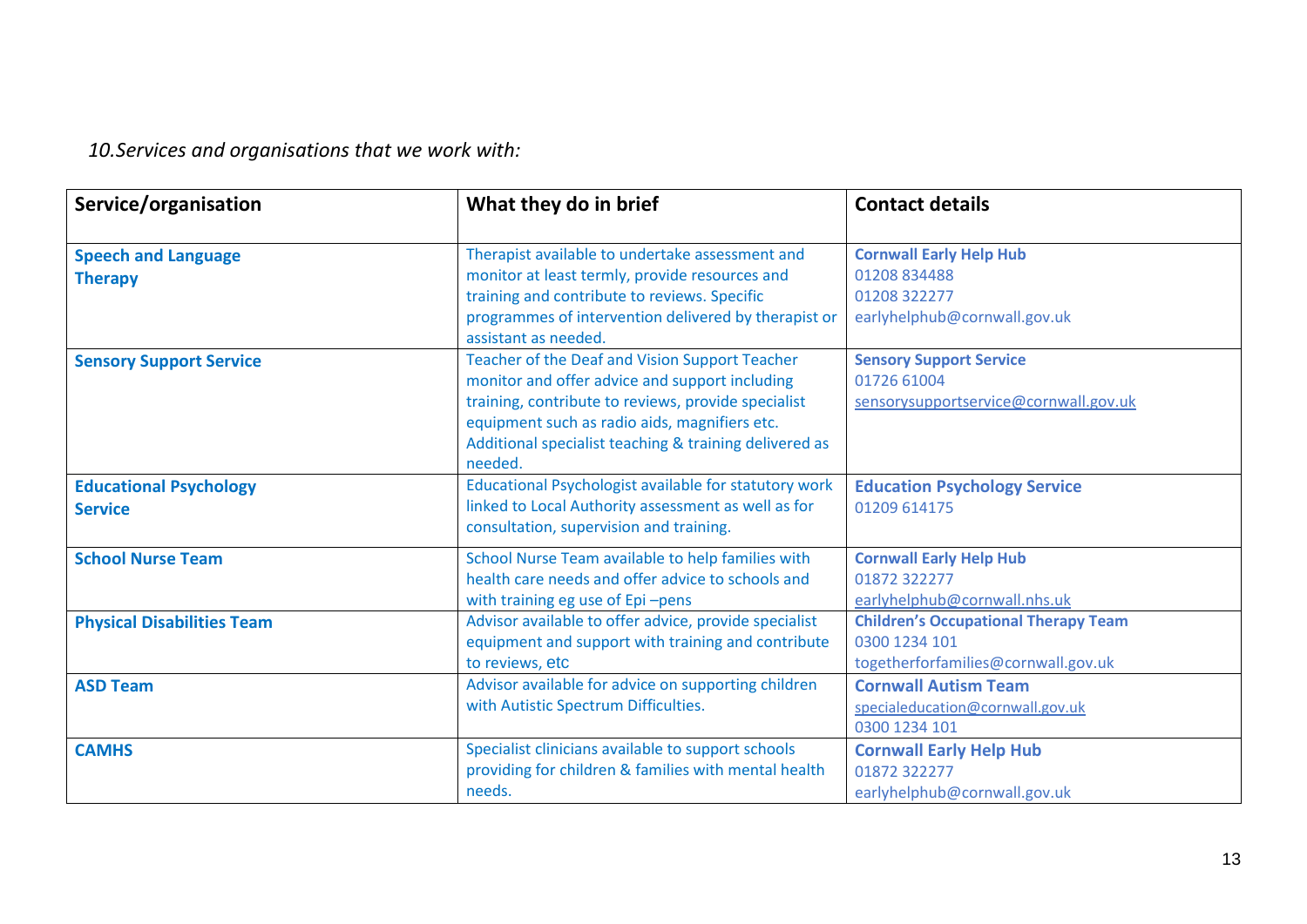*10.Services and organisations that we work with:* 

| Service/organisation              | What they do in brief                                                        | <b>Contact details</b>                      |
|-----------------------------------|------------------------------------------------------------------------------|---------------------------------------------|
|                                   |                                                                              |                                             |
| <b>Speech and Language</b>        | Therapist available to undertake assessment and                              | <b>Cornwall Early Help Hub</b>              |
| <b>Therapy</b>                    | monitor at least termly, provide resources and                               | 01208 834488                                |
|                                   | training and contribute to reviews. Specific                                 | 01208 322277                                |
|                                   | programmes of intervention delivered by therapist or<br>assistant as needed. | earlyhelphub@cornwall.gov.uk                |
| <b>Sensory Support Service</b>    | Teacher of the Deaf and Vision Support Teacher                               | <b>Sensory Support Service</b>              |
|                                   | monitor and offer advice and support including                               | 01726 61004                                 |
|                                   | training, contribute to reviews, provide specialist                          | sensorysupportservice@cornwall.gov.uk       |
|                                   | equipment such as radio aids, magnifiers etc.                                |                                             |
|                                   | Additional specialist teaching & training delivered as                       |                                             |
|                                   | needed.                                                                      |                                             |
| <b>Educational Psychology</b>     | Educational Psychologist available for statutory work                        | <b>Education Psychology Service</b>         |
| <b>Service</b>                    | linked to Local Authority assessment as well as for                          | 01209 614175                                |
|                                   | consultation, supervision and training.                                      |                                             |
| <b>School Nurse Team</b>          | School Nurse Team available to help families with                            | <b>Cornwall Early Help Hub</b>              |
|                                   | health care needs and offer advice to schools and                            | 01872 322277                                |
|                                   | with training eg use of Epi-pens                                             | earlyhelphub@cornwall.nhs.uk                |
| <b>Physical Disabilities Team</b> | Advisor available to offer advice, provide specialist                        | <b>Children's Occupational Therapy Team</b> |
|                                   | equipment and support with training and contribute                           | 0300 1234 101                               |
|                                   | to reviews, etc                                                              | togetherforfamilies@cornwall.gov.uk         |
| <b>ASD Team</b>                   | Advisor available for advice on supporting children                          | <b>Cornwall Autism Team</b>                 |
|                                   | with Autistic Spectrum Difficulties.                                         | specialeducation@cornwall.gov.uk            |
|                                   |                                                                              | 0300 1234 101                               |
| <b>CAMHS</b>                      | Specialist clinicians available to support schools                           | <b>Cornwall Early Help Hub</b>              |
|                                   | providing for children & families with mental health                         | 01872 322277                                |
|                                   | needs.                                                                       | earlyhelphub@cornwall.gov.uk                |